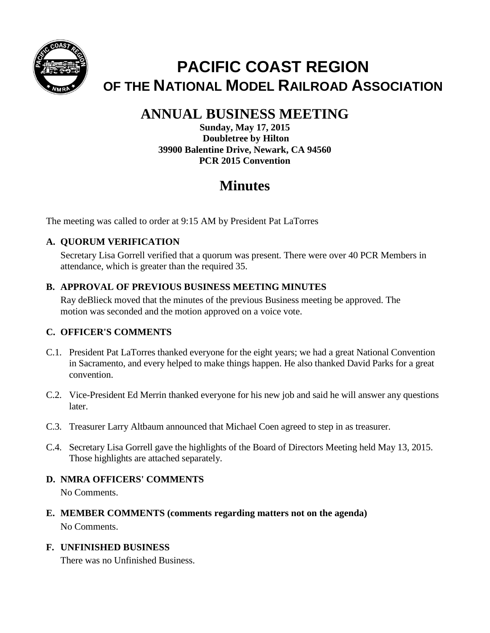

# **PACIFIC COAST REGION OF THE NATIONAL MODEL RAILROAD ASSOCIATION**

## **ANNUAL BUSINESS MEETING**

**Sunday, May 17, 2015 Doubletree by Hilton 39900 Balentine Drive, Newark, CA 94560 PCR 2015 Convention** 

## **Minutes**

The meeting was called to order at 9:15 AM by President Pat LaTorres

## **A. QUORUM VERIFICATION**

Secretary Lisa Gorrell verified that a quorum was present. There were over 40 PCR Members in attendance, which is greater than the required 35.

### **B. APPROVAL OF PREVIOUS BUSINESS MEETING MINUTES**

Ray deBlieck moved that the minutes of the previous Business meeting be approved. The motion was seconded and the motion approved on a voice vote.

## **C. OFFICER'S COMMENTS**

- C.1. President Pat LaTorres thanked everyone for the eight years; we had a great National Convention in Sacramento, and every helped to make things happen. He also thanked David Parks for a great convention.
- C.2. Vice-President Ed Merrin thanked everyone for his new job and said he will answer any questions later.
- C.3. Treasurer Larry Altbaum announced that Michael Coen agreed to step in as treasurer.
- C.4. Secretary Lisa Gorrell gave the highlights of the Board of Directors Meeting held May 13, 2015. Those highlights are attached separately.
- **D. NMRA OFFICERS' COMMENTS** No Comments.
- **E. MEMBER COMMENTS (comments regarding matters not on the agenda)** No Comments.

## **F. UNFINISHED BUSINESS**

There was no Unfinished Business.